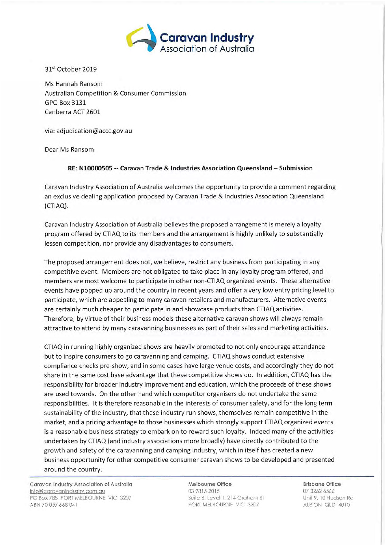

31<sup>st</sup> October 2019

Ms Hannah Ransom Australian Competition & Consumer Commission GPO Box 3131 Canberra ACT 2601

via: adjudication@accc.gov.au

Dear Ms Ransom

## **RE: N10000505 -- Caravan Trade & Industries Association Queensland - Submission**

Caravan Industry Association of Australia welcomes the opportunity to provide <sup>a</sup> comment regarding an exclusive dealing application proposed by Caravan Trade & Industries Association Queensland (CTIAQ).

Caravan Industry Association of Australia believes the proposed arrangement is merely <sup>a</sup> loyalty program offered by CTIAQ to its members and the arrangement is highly unlikely to substantially lessen competition, nor provide any disadvantages to consumers.

The proposed arrangement does not, we believe, restrict any business from participating in any competitive event. Members are not obligated to take place in any loyalty program offered, and members are most welcome to participate in other non-CTIAQ organized events. These alternative events have popped up around the country in recent years and offer a very low entry pricing level to participate, which are appealing to many caravan retailers and manufacturers. Alternative events are certainly much cheaper to participate in and showcase products than CTIAQ activities. Therefore, by virtue of their business models these alternative caravan shows will always remain attractive to attend by many caravanning businesses as part of their sales and marketing activities.

CTIAQ in running highly organized shows are heavily promoted to not only encourage attendance but to inspire consumers to go caravanning and camping. CTIAQ shows conduct extensive compliance checks pre-show, and in some cases have large venue costs, and accordingly they do not share in the same cost base advantage that these competitive shows do. In addition, CTIAQ has the responsibility for broader industry improvement and education, which the proceeds of these shows are used towards. On the other hand which competitor organisers do not undertake the same responsibilities. It is therefore reasonable in the interests of consumer safety, and for the long term sustainability of the industry, that these industry run shows, themselves remain competitive in the market, and <sup>a</sup> pricing advantage to those businesses which strongly support CTIAQ organized events is <sup>a</sup> reasonable business strategy to embark on to reward such loyalty. Indeed many of the activities undertaken by CTIAQ (and industry associations more broadly) have directly contributed to the growth and safety of the caravanning and camping industry, which in itself has created <sup>a</sup> new business opportunity for other competitive consumer caravan shows to be developed and presented around the country.

**Caravan Industry Association of Australia** info@caravanindustrv.com.au PO Box 788 PORT MELBOURNE VIC 3207 ABN 70 057 668 041

**Melbourne Office** 03 9815 2015 Suite *6,* Level 1, 214 Graham St PORT MELBOURNE VIC 3207

**Brisbane Office** 07 3262 6566 Unit 9, 10 Hudson Rd ALBION OLD 4010